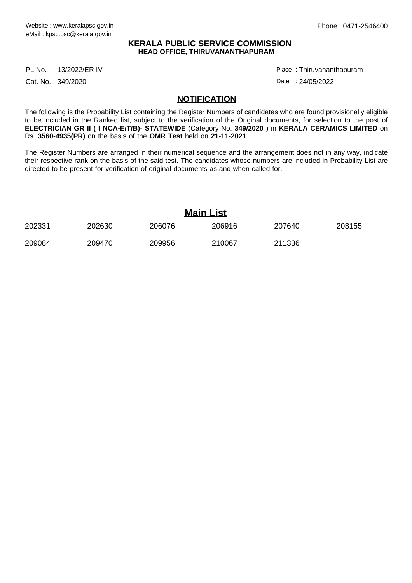## **KERALA PUBLIC SERVICE COMMISSION HEAD OFFICE, THIRUVANANTHAPURAM**

PL.No. : 13/2022/ER IV Particular and the energy of the energy particular problem in the energy particular pro

Cat. No.: 349/2020

Thiruvananthapuram :

Date : 24/05/2022

## **NOTIFICATION**

The following is the Probability List containing the Register Numbers of candidates who are found provisionally eligible to be included in the Ranked list, subject to the verification of the Original documents, for selection to the post of **ELECTRICIAN GR II ( I NCA-E/T/B)**- **STATEWIDE** (Category No. **349/2020** ) in **KERALA CERAMICS LIMITED** on Rs. **3560-4935(PR)** on the basis of the **OMR Test** held on **21-11-2021**.

The Register Numbers are arranged in their numerical sequence and the arrangement does not in any way, indicate their respective rank on the basis of the said test. The candidates whose numbers are included in Probability List are directed to be present for verification of original documents as and when called for.

|        | <b>Main List</b> |        |        |        |        |
|--------|------------------|--------|--------|--------|--------|
| 202331 | 202630           | 206076 | 206916 | 207640 | 208155 |
| 209084 | 209470           | 209956 | 210067 | 211336 |        |